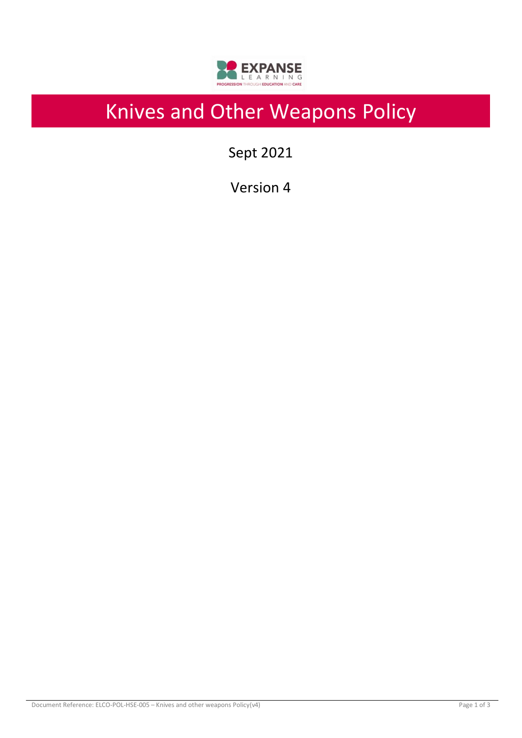

# Knives and Other Weapons Policy

Sept 2021

Version 4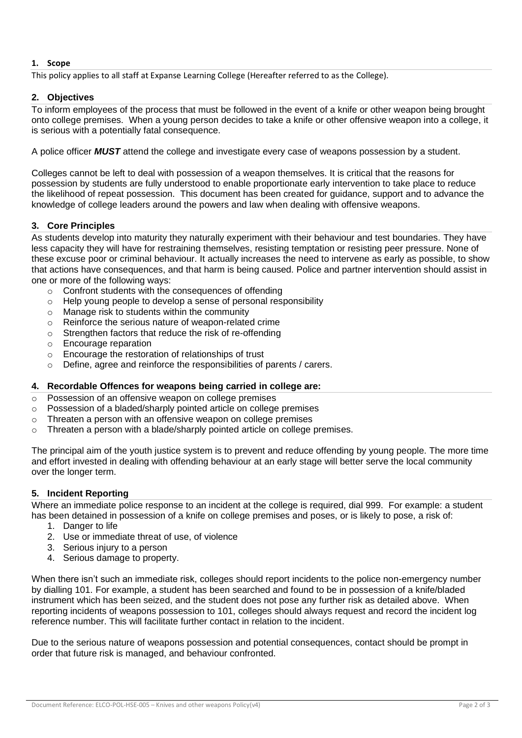# **1. Scope**

This policy applies to all staff at Expanse Learning College (Hereafter referred to as the College).

# **2. Objectives**

To inform employees of the process that must be followed in the event of a knife or other weapon being brought onto college premises. When a young person decides to take a knife or other offensive weapon into a college, it is serious with a potentially fatal consequence.

A police officer *MUST* attend the college and investigate every case of weapons possession by a student.

Colleges cannot be left to deal with possession of a weapon themselves. It is critical that the reasons for possession by students are fully understood to enable proportionate early intervention to take place to reduce the likelihood of repeat possession. This document has been created for guidance, support and to advance the knowledge of college leaders around the powers and law when dealing with offensive weapons.

### **3. Core Principles**

As students develop into maturity they naturally experiment with their behaviour and test boundaries. They have less capacity they will have for restraining themselves, resisting temptation or resisting peer pressure. None of these excuse poor or criminal behaviour. It actually increases the need to intervene as early as possible, to show that actions have consequences, and that harm is being caused. Police and partner intervention should assist in one or more of the following ways:

- o Confront students with the consequences of offending
- o Help young people to develop a sense of personal responsibility
- o Manage risk to students within the community
- o Reinforce the serious nature of weapon-related crime
- o Strengthen factors that reduce the risk of re-offending
- o Encourage reparation
- o Encourage the restoration of relationships of trust
- o Define, agree and reinforce the responsibilities of parents / carers.

#### **4. Recordable Offences for weapons being carried in college are:**

- o Possession of an offensive weapon on college premises
- o Possession of a bladed/sharply pointed article on college premises
- o Threaten a person with an offensive weapon on college premises
- $\circ$  Threaten a person with a blade/sharply pointed article on college premises.

The principal aim of the youth justice system is to prevent and reduce offending by young people. The more time and effort invested in dealing with offending behaviour at an early stage will better serve the local community over the longer term.

#### **5. Incident Reporting**

Where an immediate police response to an incident at the college is required, dial 999. For example: a student has been detained in possession of a knife on college premises and poses, or is likely to pose, a risk of:

- 1. Danger to life
- 2. Use or immediate threat of use, of violence
- 3. Serious injury to a person
- 4. Serious damage to property.

When there isn't such an immediate risk, colleges should report incidents to the police non-emergency number by dialling 101. For example, a student has been searched and found to be in possession of a knife/bladed instrument which has been seized, and the student does not pose any further risk as detailed above. When reporting incidents of weapons possession to 101, colleges should always request and record the incident log reference number. This will facilitate further contact in relation to the incident.

Due to the serious nature of weapons possession and potential consequences, contact should be prompt in order that future risk is managed, and behaviour confronted.